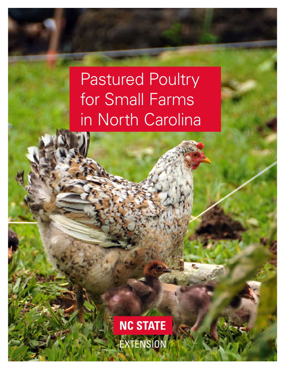# Pastured Poultry for Small Farms in North Carolina

**NC STATE** EXTENSION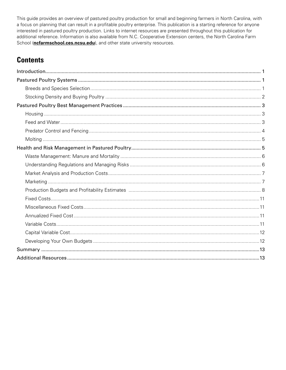This guide provides an overview of pastured poultry production for small and beginning farmers in North Carolina, with a focus on planning that can result in a profitable poultry enterprise. This publication is a starting reference for anyone interested in pastured poultry production. Links to internet resources are presented throughout this publication for additional reference. Information is also available from N.C. Cooperative Extension centers, the North Carolina Farm School (*[ncfarmschool.ces.ncsu.edu](https://ncfarmschool.ces.ncsu.edu/)*), and other state university resources.

### **Contents**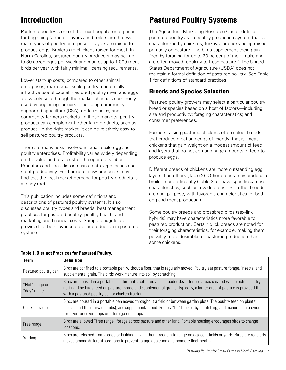# <span id="page-2-0"></span>**Introduction**

Pastured poultry is one of the most popular enterprises for beginning farmers. Layers and broilers are the two main types of poultry enterprises. Layers are raised to produce eggs. Broilers are chickens raised for meat. In North Carolina, pastured poultry producers may sell up to 30 dozen eggs per week and market up to 1,000 meat birds per year with fairly minimal licensing requirements.

Lower start-up costs, compared to other animal enterprises, make small-scale poultry a potentially attractive use of capital. Pastured poultry meat and eggs are widely sold through the market channels commonly used by beginning farmers—including community supported agriculture (CSA), on-farm sales, and community farmers markets. In these markets, poultry products can complement other farm products, such as produce. In the right market, it can be relatively easy to sell pastured poultry products.

There are many risks involved in small-scale egg and poultry enterprises. Profitability varies widely depending on the value and total cost of the operator's labor. Predators and flock disease can create large losses and stunt productivity. Furthermore, new producers may find that the local market demand for poultry products is already met.

This publication includes some definitions and descriptions of pastured poultry systems. It also discusses poultry types and breeds, best management practices for pastured poultry, poultry health, and marketing and financial costs. Sample budgets are provided for both layer and broiler production in pastured systems.

# **Pastured Poultry Systems**

The Agricultural Marketing Resource Center defines pastured poultry as "a poultry production system that is characterized by chickens, turkeys, or ducks being raised primarily on pasture. The birds supplement their grain feed by foraging for up to 20 percent of their intake and are often moved regularly to fresh pasture." The United States Department of Agriculture (USDA) does not maintain a formal definition of pastured poultry. See Table 1 for definitions of standard practices.

### **Breeds and Species Selection**

Pastured poultry growers may select a particular poultry breed or species based on a host of factors—including size and productivity; foraging characteristics; and consumer preferences.

Farmers raising pastured chickens often select breeds that produce meat and eggs efficiently; that is, meat chickens that gain weight on a modest amount of feed and layers that do not demand huge amounts of feed to produce eggs.

Different breeds of chickens are more outstanding egg layers than others (Table 2). Other breeds may produce a broiler more efficiently (Table 3) or have specific carcass characteristics, such as a wide breast. Still other breeds are dual-purpose, with favorable characteristics for both egg and meat production.

Some poultry breeds and crossbred birds (sex-link hybrids) may have characteristics more favorable to pastured production. Certain duck breeds are noted for their foraging characteristics, for example, making them possibly more desirable for pastured production than some chickens.

| <b>Term</b>                   | <b>Definition</b>                                                                                                                                                                                                                                                                                |
|-------------------------------|--------------------------------------------------------------------------------------------------------------------------------------------------------------------------------------------------------------------------------------------------------------------------------------------------|
| Pastured poultry pen          | Birds are confined to a portable pen, without a floor, that is regularly moved. Poultry eat pasture forage, insects, and<br>supplemental grain. The birds work manure into soil by scratching.                                                                                                   |
| "Net" range or<br>"day" range | Birds are housed in a portable shelter that is situated among paddocks—fenced areas created with electric poultry<br>netting. The birds feed on pasture forage and supplemental grains. Typically, a larger area of pasture is provided than<br>with a pastured poultry pen or chicken tractor.  |
| Chicken tractor               | Birds are housed in a portable pen moved throughout a field or between garden plots. The poultry feed on plants;<br>insects and their larvae (grubs); and supplemental feed. Poultry "till" the soil by scratching, and manure can provide<br>fertilizer for cover crops or future garden crops. |
| Free range                    | Birds are allowed "free range" forage across pasture and other land. Portable housing encourages birds to change<br>locations.                                                                                                                                                                   |
| Yarding                       | Birds are released from a coop or building, giving them freedom to range on adjacent fields or yards. Birds are regularly<br>moved among different locations to prevent forage depletion and promote flock health.                                                                               |

#### **Table 1. Distinct Practices for Pastured Poultry.**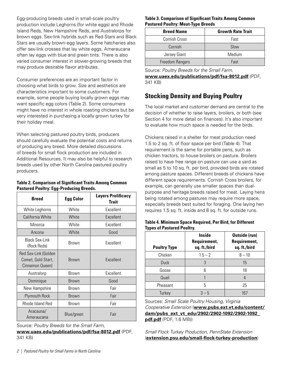<span id="page-3-0"></span>Egg-producing breeds used in small-scale poultry production include Leghorns (for white eggs) and Rhode Island Reds, New Hampshire Reds, and Australorps for brown eggs. Sex-link hybrids such as Red Stars and Black Stars are usually brown-egg layers. Some hatcheries also offer sex-link crosses that lay white eggs. Ameraucana often lay eggs with blue and green tints. There is also varied consumer interest in slower-growing breeds that may produce desirable flavor attributes.

Consumer preferences are an important factor in choosing what birds to grow. Size and aesthetics are characteristics important to some customers. For example, some people buying locally grown eggs may want specific egg colors (Table 2). Some consumers might have no interest in whole roasting chickens but be very interested in purchasing a locally grown turkey for their holiday meal.

When selecting pastured poultry birds, producers should carefully evaluate the potential costs and returns of producing any breed. More detailed discussions of breeds for small flock production are included in Additional Resources. It may also be helpful to research breeds used by other North Carolina pastured poultry producers.

#### **Table 2. Comparison of Significant Traits Among Common Pastured Poultry: Egg-Producing Breeds.**

| <b>Breed</b>                                                  | <b>Egg Color</b> | <b>Layers Prolificacy</b><br><b>Trait</b> |  |
|---------------------------------------------------------------|------------------|-------------------------------------------|--|
| White Leghorns                                                | White            | Excellent                                 |  |
| California White                                              | White            | Excellent                                 |  |
| Minorca                                                       | White            | Excellent                                 |  |
| Ancona                                                        | White            | Good                                      |  |
| <b>Black Sex-Link</b><br>(Rock Reds)                          | Brown            | Excellent                                 |  |
| Red Sex-Link (Golden<br>Comet, Gold Start,<br>Cinnamon Queen) | <b>Brown</b>     | Excellent                                 |  |
| Australorp                                                    | Brown            | Excellent                                 |  |
| Dominique                                                     | <b>Brown</b>     | Good                                      |  |
| New Hampshire                                                 | Brown            | Fair                                      |  |
| <b>Plymouth Rock</b>                                          | <b>Brown</b>     | Fair                                      |  |
| Rhode Island Red                                              | Brown            | Fair                                      |  |
| Aracauna/<br>Ameraucana                                       | Blue/green       | Fair                                      |  |

Source: *Poultry Breeds for the Small Farm*,

**[www.uaex.edu/publications/pdf/fsa-8012.pdf](https://www.uaex.edu/publications/pdf/fsa-8012.pdf)** (PDF, 341 KB)

#### **Table 3. Comparison of Significant Traits Among Common Pastured Poultry: Meat-Type Breeds**

| <b>Breed Name</b> | <b>Growth Rate Trait</b> |
|-------------------|--------------------------|
| Cornish Cross     | Fast                     |
| Cornish           | Slow                     |
| Jersey Giant      | Medium                   |
| Freedom Rangers   | Fast                     |

Source: *Poultry Breeds for the Small Farm*,

**[www.uaex.edu/publications/pdf/fsa-8012.pdf](https://www.uaex.edu/publications/pdf/fsa-8012.pdf)** (PDF, 341 KB)

### **Stocking Density and Buying Poultry**

The local market and customer demand are central to the decision of whether to raise layers, broilers, or both (see Section 4 for more detail on finances). It's also important to evaluate how much space is needed for the birds.

Chickens raised in a shelter for meat production need 1.5 to 2 sq. ft. of floor space per bird (Table 4). That requirement is the same for portable pens, such as chicken tractors, to house broilers on pasture. Broilers raised to have free range on pasture can use a yard as small as 5 to 10 sq. ft. per bird, provided birds are rotated among pasture spaces. Different breeds of chickens have different space requirements. Cornish Cross broilers, for example, can generally use smaller spaces than dualpurpose and heritage breeds raised for meat. Laying hens being rotated among pastures may require more space, especially breeds best suited for foraging. One laying hen requires 1.5 sq. ft. inside and 8 sq. ft. for outside runs.

|                                   | Table 4. Minimum Space Required, Per Bird, for Different |
|-----------------------------------|----------------------------------------------------------|
| <b>Types of Pastured Poultry.</b> |                                                          |

| <b>Poultry Type</b> | <b>Inside</b><br>Requirement,<br>sq. ft./bird | <b>Outside (run)</b><br>Requirement,<br>sq. ft./bird |
|---------------------|-----------------------------------------------|------------------------------------------------------|
| Chicken             | $1.5 - 2$                                     | $8 - 10$                                             |
| Duck                | 3                                             | 15                                                   |
| Goose               | հ                                             | 18                                                   |
| Quail               |                                               | 4                                                    |
| Pheasant            | 5                                             | 25                                                   |
| Turkey              | $3 - 5$                                       | 167                                                  |

Sources: *Small Scale Poultry Housing, Virginia Cooperative Extension* (**[www.pubs.ext.vt.edu/content/](https://www.pubs.ext.vt.edu/content/dam/pubs_ext_vt_edu/2902/2902-1092/2902-1092_pdf.pdf) [dam/pubs\\_ext\\_vt\\_edu/2902/2902-1092/2902-1092\\_](https://www.pubs.ext.vt.edu/content/dam/pubs_ext_vt_edu/2902/2902-1092/2902-1092_pdf.pdf) [pdf.pdf](https://www.pubs.ext.vt.edu/content/dam/pubs_ext_vt_edu/2902/2902-1092/2902-1092_pdf.pdf)** (PDF, 1.6 MB))

*Small Flock Turkey Production, PennState Extension* (**[extension.psu.edu/small-flock-turkey-production](https://extension.psu.edu/small-flock-turkey-production)**)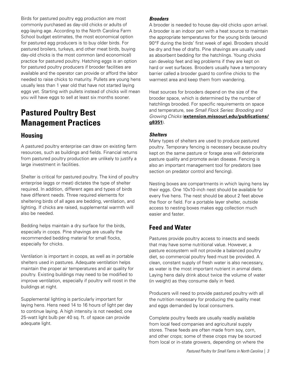<span id="page-4-0"></span>Birds for pastured poultry egg production are most commonly purchased as day-old chicks or adults of egg-laying age. According to the North Carolina Farm School budget estimates, the most economical option for pastured egg producers is to buy older birds. For pastured broilers, turkeys, and other meat birds, buying day-old chicks is the most common (and economical) practice for pastured poultry. Hatching eggs is an option for pastured poultry producers if brooder facilities are available and the operator can provide or afford the labor needed to raise chicks to maturity. Pullets are young hens usually less than 1 year old that have not started laying eggs yet. Starting with pullets instead of chicks will mean you will have eggs to sell at least six months sooner.

# **Pastured Poultry Best Management Practices**

### **Housing**

A pastured poultry enterprise can draw on existing farm resources, such as buildings and fields. Financial returns from pastured poultry production are unlikely to justify a large investment in facilities.

Shelter is critical for pastured poultry. The kind of poultry enterprise (eggs or meat) dictates the type of shelter required. In addition, different ages and types of birds have different needs. Three required elements for sheltering birds of all ages are bedding, ventilation, and lighting. If chicks are raised, supplemental warmth will also be needed.

Bedding helps maintain a dry surface for the birds, especially in coops. Pine shavings are usually the recommended bedding material for small flocks, especially for chicks.

Ventilation is important in coops, as well as in portable shelters used in pastures. Adequate ventilation helps maintain the proper air temperatures and air quality for poultry. Existing buildings may need to be modified to improve ventilation, especially if poultry will roost in the buildings at night.

Supplemental lighting is particularly important for laying hens. Hens need 14 to 16 hours of light per day to continue laying. A high intensity is not needed; one 25-watt light bulb per 40 sq. ft. of space can provide adequate light.

#### *Brooders*

A brooder is needed to house day-old chicks upon arrival. A brooder is an indoor pen with a heat source to maintain the appropriate temperatures for the young birds (around 90°F during the birds' first week of age). Brooders should be dry and free of drafts. Pine shavings are usually used as absorbent bedding for the hatchlings. Young chicks can develop feet and leg problems if they are kept on hard or wet surfaces. Brooders usually have a temporary barrier called a brooder guard to confine chicks to the warmest area and keep them from wandering.

Heat sources for brooders depend on the size of the brooder space, which is determined by the number of hatchlings brooded. For specific requirements on space and temperature, see *Small Flock Series: Brooding and Growing Chicks* (**[extension.missouri.edu/publications/](https://extension.missouri.edu/publications/g8351) [g8351](https://extension.missouri.edu/publications/g8351)**).

#### *Shelters*

Many types of shelters are used to produce pastured poultry. Temporary fencing is necessary because poultry kept on the same pasture or forage area will deteriorate pasture quality and promote avian disease. Fencing is also an important management tool for predators (see section on predator control and fencing).

Nesting boxes are compartments in which laying hens lay their eggs. One 10x10-inch nest should be available for every five hens. The nest should be about 2 feet above the floor or field. For a portable layer shelter, outside access to nesting boxes makes egg collection much easier and faster.

### **Feed and Water**

Pastures provide poultry access to insects and seeds that may have some nutritional value. However, a pasture ecosystem will not provide a balanced poultry diet, so commercial poultry feed must be provided. A clean, constant supply of fresh water is also necessary, as water is the most important nutrient in animal diets. Laying hens daily drink about twice the volume of water (in weight) as they consume daily in feed.

Producers will need to provide pastured poultry with all the nutrition necessary for producing the quality meat and eggs demanded by local consumers.

Complete poultry feeds are usually readily available from local feed companies and agricultural supply stores. These feeds are often made from soy, corn, and other crops; some of these crops may be sourced from local or in-state growers, depending on where the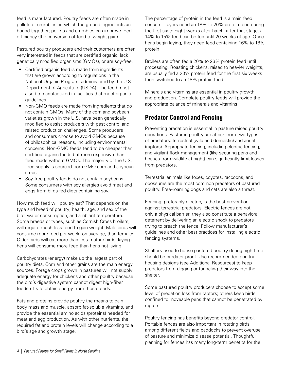<span id="page-5-0"></span>feed is manufactured. Poultry feeds are often made in pellets or crumbles, in which the ground ingredients are bound together; pellets and crumbles can improve feed efficiency (the conversion of feed to weight gain).

Pastured poultry producers and their customers are often very interested in feeds that are certified organic, lack genetically modified organisms (GMOs), or are soy-free.

- Certified organic feed is made from ingredients that are grown according to regulations in the National Organic Program, administered by the U.S. Department of Agriculture (USDA). The feed must also be manufactured in facilities that meet organic guidelines.
- Non-GMO feeds are made from ingredients that do not contain GMOs. Many of the corn and soybean varieties grown in the U.S. have been genetically modified to assist producers with pest control and related production challenges. Some producers and consumers choose to avoid GMOs because of philosophical reasons, including environmental concerns. Non-GMO feeds tend to be cheaper than certified organic feeds but more expensive than feed made without GMOs. The majority of the U.S. feed supply is sourced from GMO corn and soybean crops.
- Soy-free poultry feeds do not contain soybeans. Some consumers with soy allergies avoid meat and eggs from birds fed diets containing soy.

How much feed will poultry eat? That depends on the type and breed of poultry; health, age, and sex of the bird; water consumption; and ambient temperature. Some breeds or types, such as Cornish Cross broilers, will require much less feed to gain weight. Male birds will consume more feed per week, on average, than females. Older birds will eat more than less-mature birds; laying hens will consume more feed than hens not laying.

Carbohydrates (energy) make up the largest part of poultry diets. Corn and other grains are the main energy sources. Forage crops grown in pastures will not supply adequate energy for chickens and other poultry because the bird's digestive system cannot digest high-fiber feedstuffs to obtain energy from those feeds.

Fats and proteins provide poultry the means to gain body mass and muscle, absorb fat-soluble vitamins, and provide the essential amino acids (proteins) needed for meat and egg production. As with other nutrients, the required fat and protein levels will change according to a bird's age and growth stage.

The percentage of protein in the feed is a main feed concern. Layers need an 18% to 20% protein feed during the first six to eight weeks after hatch; after that stage, a 14% to 15% feed can be fed until 20 weeks of age. Once hens begin laying, they need feed containing 16% to 18% protein.

Broilers are often fed a 20% to 23% protein feed until processing. Roasting chickens, raised to heavier weights, are usually fed a 20% protein feed for the first six weeks then switched to an 18% protein feed.

Minerals and vitamins are essential in poultry growth and production. Complete poultry feeds will provide the appropriate balance of minerals and vitamins.

### **Predator Control and Fencing**

Preventing predation is essential in pasture raised poultry operations. Pastured poultry are at risk from two types of predators: terrestrial (wild and domestic) and aerial (raptors). Appropriate fencing, including electric fencing, and vigilant flock management (like securing pens and houses from wildlife at night) can significantly limit losses from predators.

Terrestrial animals like foxes, coyotes, raccoons, and opossums are the most common predators of pastured poultry. Free-roaming dogs and cats are also a threat.

Fencing, preferably electric, is the best prevention against terrestrial predators. Electric fences are not only a physical barrier, they also constitute a behavioral deterrent by delivering an electric shock to predators trying to breach the fence. Follow manufacturer's guidelines and other best practices for installing electric fencing systems.

Shelters used to house pastured poultry during nighttime should be predator-proof. Use recommended poultry housing designs (see Additional Resources) to keep predators from digging or tunneling their way into the shelter.

Some pastured poultry producers choose to accept some level of predation loss from raptors; others keep birds confined to moveable pens that cannot be penetrated by raptors.

Poultry fencing has benefits beyond predator control. Portable fences are also important in rotating birds among different fields and paddocks to prevent overuse of pasture and minimize disease potential. Thoughtful planning for fences has many long-term benefits for the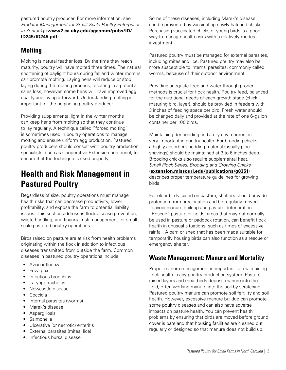<span id="page-6-0"></span>pastured poultry producer. For more information, see *Predator Management for Small-Scale Poultry Enterprises in Kentucky* (**[www2.ca.uky.edu/agcomm/pubs/ID/](http://www2.ca.uky.edu/agcomm/pubs/ID/ID245/ID245.pdf) [ID245/ID245.pdf](http://www2.ca.uky.edu/agcomm/pubs/ID/ID245/ID245.pdf)**).

### **Molting**

Molting is natural feather loss. By the time they reach maturity, poultry will have molted three times. The natural shortening of daylight hours during fall and winter months can promote molting. Laying hens will reduce or stop laying during the molting process, resulting in a potential sales loss; however, some hens will have improved egg quality and laying afterward. Understanding molting is important for the beginning poultry producer.

Providing supplemental light in the winter months can keep hens from molting so that they continue to lay regularly. A technique called "forced molting" is sometimes used in poultry operations to manage molting and ensure uniform egg production. Pastured poultry producers should consult with poultry production specialists, such as Cooperative Extension personnel, to ensure that the technique is used properly.

## **Health and Risk Management in Pastured Poultry**

Regardless of size, poultry operations must manage health risks that can decrease productivity, lower profitability, and expose the farm to potential liability issues. This section addresses flock disease prevention, waste handling, and financial risk management for smallscale pastured poultry operations.

Birds raised on pasture are at risk from health problems originating within the flock in addition to infectious diseases transmitted from outside the farm. Common diseases in pastured poultry operations include:

- Avian influenza
- Fowl pox
- Infectious bronchitis
- Laryngotracheitis
- Newcastle disease
- Coccidia
- Internal parasites (worms)
- Marek's disease
- Aspergillosis
- Salmonella
- Ulcerative (or necrotic) enteritis
- External parasites (mites, lice)
- Infectious bursal disease

Some of these diseases, including Marek's disease, can be prevented by vaccinating newly hatched chicks. Purchasing vaccinated chicks or young birds is a good way to manage health risks with a relatively modest investment.

Pastured poultry must be managed for external parasites, including mites and lice. Pastured poultry may also be more susceptible to internal parasites, commonly called worms, because of their outdoor environment.

Providing adequate feed and water through proper methods is crucial for flock health. Poultry feed, balanced for the nutritional needs of each growth stage (chick, maturing bird, layer), should be provided in feeders with 3 inches of feeding space per bird. Fresh water should be changed daily and provided at the rate of one 6-gallon container per 100 birds.

Maintaining dry bedding and a dry environment is very important in poultry health. For brooding chicks, a highly absorbent bedding material (usually pine shavings) should be maintained at 3 to 6 inches deep. Brooding chicks also require supplemental heat. *Small Flock Series: Brooding and Growing Chicks* (**[extension.missouri.edu/publications/g8351](https://extension.missouri.edu/publications/g8351)**) describes proper temperature guidelines for growing birds.

For older birds raised on pasture, shelters should provide protection from precipitation and be regularly moved to avoid manure buildup and pasture deterioration. "Rescue" pasture or fields, areas that may not normally be used in pasture or paddock rotation, can benefit flock health in unusual situations, such as times of excessive rainfall. A barn or shed that has been made suitable for temporarily housing birds can also function as a rescue or emergency shelter.

### **Waste Management: Manure and Mortality**

Proper manure management is important for maintaining flock health in any poultry production system. Pasture raised layers and meat birds deposit manure into the field, often working manure into the soil by scratching. Pastured poultry manure can promote soil fertility and soil health. However, excessive manure buildup can promote some poultry diseases and can also have adverse impacts on pasture health. You can prevent health problems by ensuring that birds are moved before ground cover is bare and that housing facilities are cleaned out regularly or designed so that manure does not build up.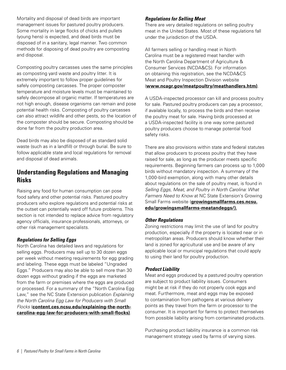<span id="page-7-0"></span>Mortality and disposal of dead birds are important management issues for pastured poultry producers. Some mortality in large flocks of chicks and pullets (young hens) is expected, and dead birds must be disposed of in a sanitary, legal manner. Two common methods for disposing of dead poultry are composting and disposal.

Composting poultry carcasses uses the same principles as composting yard waste and poultry litter. It is extremely important to follow proper guidelines for safely composting carcasses. The proper composter temperature and moisture levels must be maintained to safely decompose all organic matter. If temperatures are not high enough, disease organisms can remain and pose potential health risks. Composting of poultry carcasses can also attract wildlife and other pests, so the location of the composter should be secure. Composting should be done far from the poultry production area.

Dead birds may also be disposed of as standard solid waste (such as in a landfill) or through burial. Be sure to follow applicable state and local regulations for removal and disposal of dead animals.

### **Understanding Regulations and Managing Risks**

Raising any food for human consumption can pose food safety and other potential risks. Pastured poultry producers who explore regulations and potential risks at the outset can potentially ward off future problems. This section is not intended to replace advice from regulatory agency officials, insurance professionals, attorneys, or other risk management specialists.

#### *Regulations for Selling Eggs*

North Carolina has detailed laws and regulations for selling eggs. Producers may sell up to 30 dozen eggs per week without meeting requirements for egg grading and labeling. These eggs must be labeled "Ungraded Eggs." Producers may also be able to sell more than 30 dozen eggs without grading if the eggs are marketed from the farm or premises where the eggs are produced or processed. For a summary of the "North Carolina Egg Law," see the NC State Extension publication *Explaining the North Carolina Egg Law for Producers with Small Flocks* (**[content.ces.ncsu.edu/explaining-the-north](https://content.ces.ncsu.edu/explaining-the-north-carolina-egg-law-for-producers-with-small-flocks)[carolina-egg-law-for-producers-with-small-flocks\)](https://content.ces.ncsu.edu/explaining-the-north-carolina-egg-law-for-producers-with-small-flocks)**.

#### *Regulations for Selling Meat*

There are very detailed regulations on selling poultry meat in the United States. Most of these regulations fall under the jurisdiction of the USDA.

All farmers selling or handling meat in North Carolina must be a registered meat handler with the North Carolina Department of Agriculture & Consumer Services (NCDA&CS). For information on obtaining this registration, see the NCDA&CS Meat and Poultry Inspection Division website (**[www.ncagr.gov/meatpoultry/meathandlers.htm](http://www.ncagr.gov/meatpoultry/meathandlers.htm))**.

A USDA-inspected processor can kill and process poultry for sale. Pastured poultry producers can pay a processor, if available locally, to process the birds and then receive the poultry meat for sale. Having birds processed at a USDA-inspected facility is one way some pastured poultry producers choose to manage potential food safety risks.

There are also provisions within state and federal statutes that allow producers to process poultry that they have raised for sale, as long as the producer meets specific requirements. Beginning farmers can process up to 1,000 birds without mandatory inspection. A summary of the 1,000-bird exemption, along with many other details about regulations on the sale of poultry meat, is found in *Selling Eggs, Meat, and Poultry in North Carolina: What Farmers Need to Know* at NC State Extension's Growing Small Farms website (**[growingsmallfarms.ces.ncsu.](https://growingsmallfarms.ces.ncsu.edu/growingsmallfarms-meatandeggs/) [edu/growingsmallfarms-meatandeggs/\)](https://growingsmallfarms.ces.ncsu.edu/growingsmallfarms-meatandeggs/).**

#### *Other Regulations*

Zoning restrictions may limit the use of land for poultry production, especially if the property is located near or in metropolitan areas. Producers should know whether their land is zoned for agricultural use and be aware of any applicable local or municipal regulations that could apply to using their land for poultry production.

#### *Product Liability*

Meat and eggs produced by a pastured poultry operation are subject to product liability issues. Consumers might be at risk if they do not properly cook eggs and meat. Furthermore, meat and eggs may be exposed to contamination from pathogens at various delivery points as they travel from the farm or processor to the consumer. It is important for farms to protect themselves from possible liability arising from contaminated products.

Purchasing product liability insurance is a common risk management strategy used by farms of varying sizes.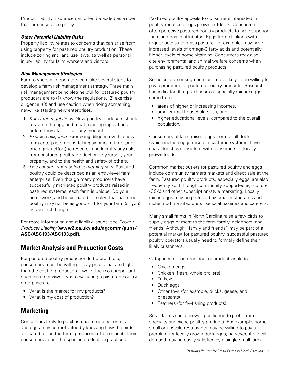<span id="page-8-0"></span>Product liability insurance can often be added as a rider to a farm insurance policy.

#### *Other Potential Liability Risks*

Property liability relates to concerns that can arise from using property for pastured poultry production. These include zoning and land use laws, as well as personal injury liability for farm workers and visitors.

#### *Risk Management Strategies*

Farm owners and operators can take several steps to develop a farm risk management strategy. Three main risk management principles helpful for pastured poultry producers are to (1) know the regulations, (2) exercise diligence, (3) and use caution when doing something new, like starting new enterprises.

- 1. *Know the regulations.* New poultry producers should research the egg and meat handling regulations before they start to sell any product.
- 2. *Exercise diligence.* Exercising diligence with a new farm enterprise means taking significant time (and often great effort) to research and identify any risks from pastured poultry production to yourself, your property, and to the health and safety of others.
- 3. *Use caution when doing something new.* Pastured poultry could be described as an entry-level farm enterprise. Even though many producers have successfully marketed poultry products raised in pastured systems, each farm is unique. Do your homework, and be prepared to realize that pastured poultry may not be as good a fit for your farm (or you) as you first thought.

For more information about liability issues, see *Poultry Producer Liability* (**[www2.ca.uky.edu/agcomm/pubs/](http://www2.ca.uky.edu/agcomm/pubs/ASC/ASC193/ASC193.pdf) [ASC/ASC193/ASC193.pdf](http://www2.ca.uky.edu/agcomm/pubs/ASC/ASC193/ASC193.pdf)).**

### **Market Analysis and Production Costs**

For pastured poultry production to be profitable, consumers must be willing to pay prices that are higher than the cost of production. Two of the most important questions to answer when evaluating a pastured poultry enterprise are:

- What is the market for my products?
- What is my cost of production?

### **Marketing**

Consumers likely to purchase pastured poultry meat and eggs may be motivated by knowing how the birds are cared for on the farm; producers often educate their consumers about the specific production practices.

Pastured poultry appeals to consumers interested in poultry meat and eggs grown outdoors. Consumers often perceive pastured poultry products to have superior taste and health attributes. Eggs from chickens with regular access to grass pasture, for example, may have increased levels of omega-3 fatty acids and potentially higher levels of some vitamins. Consumers may also cite environmental and animal welfare concerns when purchasing pastured poultry products.

Some consumer segments are more likely to be willing to pay a premium for pastured poultry products. Research has indicated that purchasers of specialty (niche) eggs came from

- areas of higher or increasing incomes,
- smaller total household sizes, and
- higher educational levels, compared to the overall population.

Consumers of farm-raised eggs from small flocks (which include eggs raised in pastured systems) have characteristics consistent with consumers of locally grown foods.

Common market outlets for pastured poultry and eggs include community farmers markets and direct sale at the farm. Pastured poultry products, especially eggs, are also frequently sold through community supported agriculture (CSA) and other subscription-style marketing. Locally raised eggs may be preferred by small restaurants and niche food manufacturers like local bakeries and caterers.

Many small farms in North Carolina raise a few birds to supply eggs or meat to the farm family, neighbors, and friends. Although "family and friends" may be part of a potential market for pastured poultry, successful pastured poultry operators usually need to formally define their likely customers.

Categories of pastured poultry products include:

- Chicken eggs
- Chicken (fresh, whole broilers)
- Turkeys
- Duck eggs
- Other fowl (for example, ducks, geese, and pheasants)
- Feathers (for fly-fishing products)

Small farms could be well positioned to profit from specialty and niche poultry products. For example, some small or upscale restaurants may be willing to pay a premium for locally grown duck eggs; however, the local demand may be easily satisfied by a single small farm.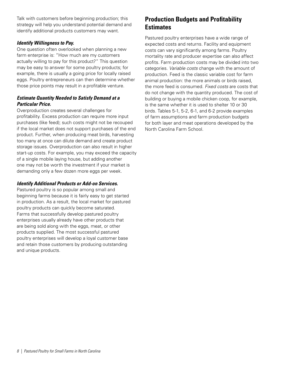<span id="page-9-0"></span>Talk with customers before beginning production; this strategy will help you understand potential demand and identify additional products customers may want.

#### *Identify Willingness to Pay.*

One question often overlooked when planning a new farm enterprise is: "How much are my customers actually willing to pay for this product?" This question may be easy to answer for some poultry products; for example, there is usually a going price for locally raised eggs. Poultry entrepreneurs can then determine whether those price points may result in a profitable venture.

#### *Estimate Quantity Needed to Satisfy Demand at a Particular Price.*

Overproduction creates several challenges for profitability. Excess production can require more input purchases (like feed); such costs might not be recouped if the local market does not support purchases of the end product. Further, when producing meat birds, harvesting too many at once can dilute demand and create product storage issues. Overproduction can also result in higher start-up costs. For example, you may exceed the capacity of a single mobile laying house, but adding another one may not be worth the investment if your market is demanding only a few dozen more eggs per week.

#### *Identify Additional Products or Add-on Services.*

Pastured poultry is so popular among small and beginning farms because it is fairly easy to get started in production. As a result, the local market for pastured poultry products can quickly become saturated. Farms that successfully develop pastured poultry enterprises usually already have other products that are being sold along with the eggs, meat, or other products supplied. The most successful pastured poultry enterprises will develop a loyal customer base and retain those customers by producing outstanding and unique products.

### **Production Budgets and Profitability Estimates**

Pastured poultry enterprises have a wide range of expected costs and returns. Facility and equipment costs can vary significantly among farms. Poultry mortality rate and producer expertise can also affect profits. Farm production costs may be divided into two categories. *Variable costs* change with the amount of production. Feed is the classic variable cost for farm animal production: the more animals or birds raised, the more feed is consumed. *Fixed costs* are costs that do not change with the quantity produced. The cost of building or buying a mobile chicken coop, for example, is the same whether it is used to shelter 10 or 30 birds. Tables 5-1, 5-2, 6-1, and 6-2 provide examples of farm assumptions and farm production budgets for both layer and meat operations developed by the North Carolina Farm School.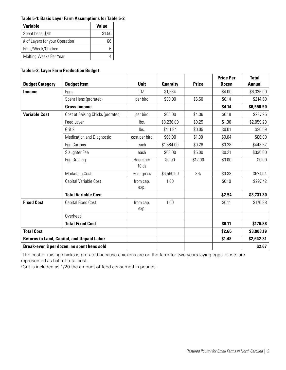#### **Table 5-1: Basic Layer Farm Assumptions for Table 5-2**

| Variable                       | Value  |
|--------------------------------|--------|
| Spent hens, \$/lb              | \$1.50 |
| # of Layers for your Operation | 66     |
| Eggs/Week/Chicken              |        |
| Molting Weeks Per Year         |        |

#### **Table 5-2. Layer Farm Production Budget**

|                                                   |                                                |                    |                 |              | <b>Price Per</b> | <b>Total</b> |
|---------------------------------------------------|------------------------------------------------|--------------------|-----------------|--------------|------------------|--------------|
| <b>Budget Category</b>                            | <b>Budget Item</b>                             | <b>Unit</b>        | <b>Quantity</b> | <b>Price</b> | <b>Dozen</b>     | Annual       |
| <b>Income</b>                                     | Eggs                                           | DZ.                | \$1,584         |              | \$4.00           | \$6,336.00   |
|                                                   | Spent Hens (prorated)                          | per bird           | \$33.00         | \$6.50       | \$0.14           | \$214.50     |
|                                                   | <b>Gross Income</b>                            |                    |                 |              | \$4.14           | \$6,550.50   |
| <b>Variable Cost</b>                              | Cost of Raising Chicks (prorated) <sup>1</sup> | per bird           | \$66.00         | \$4.36       | \$0.18           | \$287.95     |
|                                                   | Feed Layer                                     | lbs.               | \$8,236.80      | \$0.25       | \$1.30           | \$2,059.20   |
|                                                   | Grit 2                                         | lbs.               | \$411.84        | \$0.05       | \$0.01           | \$20.59      |
|                                                   | <b>Medication and Diagnostic</b>               | cost per bird      | \$66.00         | \$1.00       | \$0.04           | \$66.00      |
|                                                   | Egg Cartons                                    | each               | \$1,584.00      | \$0.28       | \$0.28           | \$443.52     |
|                                                   | Slaughter Fee                                  | each               | \$66.00         | \$5.00       | \$0.21           | \$330.00     |
|                                                   | Egg Grading                                    | Hours per<br>10 dz | \$0.00          | \$12.00      | \$0.00           | \$0.00       |
|                                                   | <b>Marketing Cost</b>                          | % of gross         | \$6,550.50      | 8%           | \$0.33           | \$524.04     |
|                                                   | Capital Variable Cost                          | from cap.<br>exp.  | 1.00            |              | \$0.19           | \$297.42     |
|                                                   | <b>Total Variable Cost</b>                     |                    |                 |              | \$2.54           | \$3,731.30   |
| <b>Fixed Cost</b>                                 | <b>Capital Fixed Cost</b>                      | from cap.<br>exp.  | 1.00            |              | \$0.11           | \$176.88     |
|                                                   | Overhead                                       |                    |                 |              |                  |              |
|                                                   | <b>Total Fixed Cost</b>                        |                    |                 |              | \$0.11           | \$176.88     |
| <b>Total Cost</b>                                 |                                                |                    |                 |              | \$2.66           | \$3,908.19   |
| <b>Returns to Land, Capital, and Unpaid Labor</b> |                                                |                    |                 |              | \$1.48           | \$2,642.31   |
| Break-even \$ per dozen, no spent hens sold       |                                                |                    |                 |              |                  | \$2.67       |

1 The cost of raising chicks is prorated because chickens are on the farm for two years laying eggs. Costs are represented as half of total cost.

<sup>2</sup>Grit is included as 1/20 the amount of feed consumed in pounds.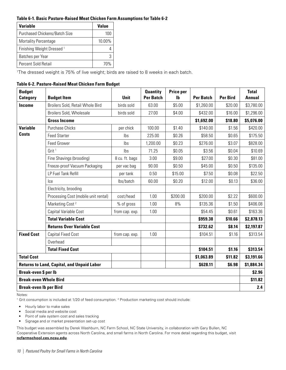#### **Table 6-1. Basic Pasture-Raised Meat Chicken Farm Assumptions for Table 6-2**

| Variable                              | Value  |
|---------------------------------------|--------|
| <b>Purchased Chickens/Batch Size</b>  | 100    |
| <b>Mortality Percentage</b>           | 10.00% |
| Finishing Weight Dressed <sup>1</sup> |        |
| Batches per Year                      |        |
| Percent Sold Retail                   | 7በ%    |

1 The dressed weight is 75% of live weight; birds are raised to 8 weeks in each batch.

#### **Table 6-2. Pasture-Raised Meat Chicken Farm Budget**

| <b>Budget</b>                 |                                                   | <b>Unit</b>    | <b>Quantity</b><br><b>Per Batch</b> | Price per<br>Ib | <b>Per Batch</b> | <b>Per Bird</b> | <b>Total</b><br><b>Annual</b> |
|-------------------------------|---------------------------------------------------|----------------|-------------------------------------|-----------------|------------------|-----------------|-------------------------------|
| <b>Category</b>               | <b>Budget Item</b>                                |                |                                     |                 |                  |                 |                               |
| Income                        | Broilers Sold, Retail Whole Bird                  | birds sold     | 63.00                               | \$5.00          | \$1,260.00       | \$20.00         | \$3,780.00                    |
|                               | Broilers Sold, Wholesale                          | birds sold     | 27.00                               | \$4.00          | \$432.00         | \$16.00         | \$1,296.00                    |
|                               | <b>Gross Income</b>                               |                |                                     |                 | \$1,692.00       | \$18.80         | \$5,076.00                    |
| <b>Variable</b>               | <b>Purchase Chicks</b>                            | per chick      | 100.00                              | \$1.40          | \$140.00         | \$1.56          | \$420.00                      |
| <b>Costs</b>                  | <b>Feed Starter</b>                               | Ibs            | 225.00                              | \$0.26          | \$58.50          | \$0.65          | \$175.50                      |
|                               | <b>Feed Grower</b>                                | Ibs            | 1,200.00                            | \$0.23          | \$276.00         | \$3.07          | \$828.00                      |
|                               | Grit <sup>1</sup>                                 | lbs            | 71.25                               | \$0.05          | \$3.56           | \$0.04          | \$10.69                       |
|                               | Fine Shavings (brooding)                          | 8 cu. ft. bags | 3.00                                | \$9.00          | \$27.00          | \$0.30          | \$81.00                       |
|                               | Freeze-proof Vacuum Packaging                     | per vac bag    | 90.00                               | \$0.50          | \$45.00          | \$0.50          | \$135.00                      |
|                               | LP Fuel Tank Refill                               | per tank       | 0.50                                | \$15.00         | \$7.50           | \$0.08          | \$22.50                       |
|                               | Ice                                               | lbs/batch      | 60.00                               | \$0.20          | \$12.00          | \$0.13          | \$36.00                       |
|                               | Electricity, brooding                             |                |                                     |                 |                  |                 |                               |
|                               | Processing Cost (mobile unit rental)              | cost/head      | 1.00                                | \$200.00        | \$200.00         | \$2.22          | \$600.00                      |
|                               | Marketing Cost <sup>2</sup>                       | % of gross     | 1.00                                | 8%              | \$135.36         | \$1.50          | \$406.08                      |
|                               | Capital Variable Cost                             | from cap. exp. | 1.00                                |                 | \$54.45          | \$0.61          | \$163.36                      |
|                               | <b>Total Variable Cost</b>                        |                |                                     |                 | \$959.38         | \$10.66         | \$2,878.13                    |
|                               | <b>Returns Over Variable Cost</b>                 |                |                                     | \$732.62        | \$8.14           | \$2,197.87      |                               |
| <b>Fixed Cost</b>             | <b>Capital Fixed Cost</b>                         | from cap. exp. | 1.00                                |                 | \$104.51         | \$1.16          | \$313.54                      |
|                               | Overhead                                          |                |                                     |                 |                  |                 |                               |
|                               | <b>Total Fixed Cost</b>                           |                |                                     |                 | \$104.51         | \$1.16          | \$313.54                      |
| <b>Total Cost</b>             |                                                   |                |                                     |                 | \$1,063.89       | \$11.82         | \$3,191.66                    |
|                               | <b>Returns to Land, Capital, and Unpaid Labor</b> |                |                                     |                 | \$628.11         | \$6.98          | \$1,884.34                    |
| Break-even \$ per lb          |                                                   |                |                                     | \$2.96          |                  |                 |                               |
| <b>Break-even Whole Bird</b>  |                                                   |                |                                     |                 |                  |                 | \$11.82                       |
| <b>Break-even Ib per Bird</b> |                                                   |                |                                     |                 |                  |                 | 2.4                           |

Notes:

<sup>1</sup> Grit consumption is included at 1/20 of feed consumption. <sup>2</sup> Production marketing cost should include:

• Hourly labor to make sales

• Social media and website cost

- Point of sale system cost and sales tracking
- Signage and or market presentation set-up cost

This budget was assembled by Derek Washburn, NC Farm School, NC State University, in collaboration with Gary Bullen, NC Cooperative Extension agents across North Carolina, and small farms in North Carolina. For more detail regarding this budget, visit **[ncfarmschool.ces.ncsu.edu](https://ncfarmschool.ces.ncsu.edu/)**.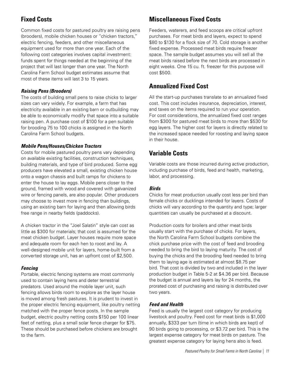### <span id="page-12-0"></span>**Fixed Costs**

Common fixed costs for pastured poultry are raising pens (brooders), mobile chicken houses or "chicken tractors," electric fencing, feeders, and other miscellaneous equipment used for more than one year. Each of the following cost categories involves capital investment: funds spent for things needed at the beginning of the project that will last longer than one year. The North Carolina Farm School budget estimates assume that most of these items will last 3 to 15 years.

#### *Raising Pens (Brooders)*

The costs of building small pens to raise chicks to larger sizes can vary widely. For example, a farm that has electricity available in an existing barn or outbuilding may be able to economically modify that space into a suitable raising pen. A purchase cost of \$100 for a pen suitable for brooding 75 to 100 chicks is assigned in the North Carolina Farm School budgets.

#### *Mobile Pens/Houses/Chicken Tractors*

Costs for mobile pastured poultry pens vary depending on available existing facilities, construction techniques, building materials, and type of bird produced. Some egg producers have elevated a small, existing chicken house onto a wagon chassis and built ramps for chickens to enter the house to lay eggs. Mobile pens closer to the ground, framed with wood and covered with galvanized wire or fencing panels, are also popular. Other producers may choose to invest more in fencing than buildings, using an existing barn for laying and then allowing birds free range in nearby fields (paddocks).

A chicken tractor in the "Joel Salatin" style can cost as little as \$300 for materials; that cost is assumed for the meat chicken budget. Layer houses require more space and adequate room for each hen to roost and lay. A well-designed mobile unit for layers, home-built from a converted storage unit, has an upfront cost of \$2,500.

#### *Fencing*

Portable, electric fencing systems are most commonly used to contain laying hens and deter terrestrial predators. Used around the mobile layer unit, such fencing allows birds room to explore as the layer house is moved among fresh pastures. It is prudent to invest in the proper electric fencing equipment, like poultry netting matched with the proper fence posts. In the sample budget, electric poultry netting costs \$150 per 100 linear feet of netting, plus a small solar fence charger for \$75. These should be purchased before chickens are brought to the farm.

### **Miscellaneous Fixed Costs**

Feeders, waterers, and feed scoops are critical upfront purchases. For meat birds and layers, expect to spend \$80 to \$130 for a flock size of 70. Cold storage is another fixed expense. Processed meat birds require freezer space. The sample budget assumes you will sell all the meat birds raised before the next birds are processed in eight weeks. One 15 cu. ft. freezer for this purpose will cost \$500.

### **Annualized Fixed Cost**

All the start-up purchases translate to an annualized fixed cost. This cost includes insurance, depreciation, interest, and taxes on the items required to run your operation. For cost considerations, the annualized fixed cost ranges from \$300 for pastured meat birds to more than \$530 for egg layers. The higher cost for layers is directly related to the increased space needed for roosting and laying space in their house.

### **Variable Costs**

Variable costs are those incurred during active production, including purchase of birds, feed and health, marketing, labor, and processing.

#### *Birds*

Chicks for meat production usually cost less per bird than female chicks or ducklings intended for layers. Costs of chicks will vary according to the quantity and type; larger quantities can usually be purchased at a discount.

Production costs for broilers and other meat birds usually start with the purchase of chicks. For layers, the North Carolina Farm School budgets combine the chick purchase price with the cost of feed and brooding needed to bring the bird to laying maturity. The cost of buying the chicks and the brooding feed needed to bring them to laying age is estimated at almost \$8.75 per bird. That cost is divided by two and included in the layer production budget in Table 5-2 at \$4.36 per bird. Because the budget is annual and layers lay for 24 months, the prorated cost of purchasing and raising is distributed over two years.

#### *Feed and Health*

Feed is usually the largest cost category for producing livestock and poultry. Feed cost for meat birds is \$1,000 annually, \$333 per turn (time in which birds are kept) of 90 birds going to processing, or \$3.72 per bird. This is the largest expense category for meat birds on pasture. The greatest expense category for laying hens also is feed.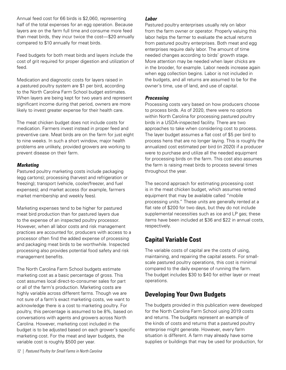<span id="page-13-0"></span>Annual feed cost for 66 birds is \$2,060, representing half of the total expenses for an egg operation. Because layers are on the farm full time and consume more feed than meat birds, they incur twice the cost—\$20 annually compared to \$10 annually for meat birds.

Feed budgets for both meat birds and layers include the cost of grit required for proper digestion and utilization of feed.

Medication and diagnostic costs for layers raised in a pastured poultry system are \$1 per bird, according to the North Carolina Farm School budget estimates. When layers are being kept for two years and represent significant income during that period, owners are more likely to invest greater expense for their health care.

The meat chicken budget does not include costs for medication. Farmers invest instead in proper feed and preventive care. Meat birds are on the farm for just eight to nine weeks. In such a short window, major health problems are unlikely, provided growers are working to prevent disease on their farm.

#### *Marketing*

Pastured poultry marketing costs include packaging (egg cartons); processing (harvest and refrigeration or freezing); transport (vehicle, cooler/freezer, and fuel expenses); and market access (for example, farmers market membership and weekly fees).

Marketing expenses tend to be higher for pastured meat bird production than for pastured layers due to the expense of an inspected poultry processor. However, when all labor costs and risk management practices are accounted for, producers with access to a processor often find the added expense of processing and packaging meat birds to be worthwhile. Inspected processing also provides potential food safety and risk management benefits.

The North Carolina Farm School budgets estimate marketing cost as a basic percentage of gross. This cost assumes local direct-to-consumer sales for part or all of the farm's production. Marketing costs are highly variable across different farms. Though we are not sure of a farm's exact marketing costs, we want to acknowledge there is a cost to marketing poultry. For poultry, this percentage is assumed to be 8%, based on conversations with agents and growers across North Carolina. However, marketing cost included in the budget is to be adjusted based on each grower's specific marketing cost. For the meat and layer budgets, the variable cost is roughly \$500 per year.

#### *Labor*

Pastured poultry enterprises usually rely on labor from the farm owner or operator. Properly valuing this labor helps the farmer to evaluate the actual returns from pastured poultry enterprises. Both meat and egg enterprises require daily labor. The amount of time needed changes according to birds' growth stage. More attention may be needed when layer chicks are in the brooder, for example. Labor needs increase again when egg collection begins. Labor is not included in the budgets, and all returns are assumed to be for the owner's time, use of land, and use of capital.

#### *Processing*

Processing costs vary based on how producers choose to process birds. As of 2020, there were no options within North Carolina for processing pastured poultry birds in a USDA-inspected facility. There are two approaches to take when considering cost to process. The layer budget assumes a flat cost of \$5 per bird to process hens that are no longer laying. This is roughly the annualized cost estimated per bird (in 2020) if a producer were to purchase and utilize all the needed equipment for processing birds on the farm. This cost also assumes the farm is raising meat birds to process several times throughout the year.

The second approach for estimating processing cost is in the meat chicken budget, which assumes rented equipment that may be available called "mobile processing units." These units are generally rented at a flat rate of \$200 for two days, but they do not include supplemental necessities such as ice and LP gas; these items have been included at \$36 and \$22 in annual costs, respectively.

### **Capital Variable Cost**

The variable costs of capital are the costs of using, maintaining, and repairing the capital assets. For smallscale pastured poultry operations, this cost is minimal compared to the daily expense of running the farm. The budget includes \$30 to \$40 for either layer or meat operations.

### **Developing Your Own Budgets**

The budgets provided in this publication were developed for the North Carolina Farm School using 2019 costs and returns. The budgets represent an example of the kinds of costs and returns that a pastured poultry enterprise might generate. However, every farm situation is different. A farm may already have some supplies or buildings that may be used for production, for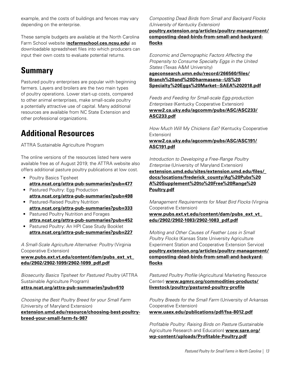<span id="page-14-0"></span>example, and the costs of buildings and fences may vary depending on the enterprise.

These sample budgets are available at the North Carolina Farm School website (**[ncfarmschool.ces.ncsu.edu](https://ncfarmschool.ces.ncsu.edu/)**) as downloadable spreadsheet files into which producers can input their own costs to evaluate potential returns.

# **Summary**

Pastured poultry enterprises are popular with beginning farmers. Layers and broilers are the two main types of poultry operations. Lower start-up costs, compared to other animal enterprises, make small-scale poultry a potentially attractive use of capital. Many additional resources are available from NC State Extension and other professional organizations.

# **Additional Resources**

ATTRA Sustainable Agriculture Program

The online versions of the resources listed here were available free as of August 2019; the ATTRA website also offers additional pasture poultry publications at low cost.

- Poultry Basics Tipsheet **[attra.ncat.org/attra-pub-summaries?pub=477](https://attra.ncat.org/attra-pub-summaries?pub=477)**
- Pastured Poultry: Egg Production **[attra.ncat.org/attra-pub-summaries?pub=498](https://attra.ncat.org/attra-pub-summaries?pub=498)**
- Pastured-Raised Poultry Nutrition **[attra.ncat.org/attra-pub-summaries?pub=333](https://attra.ncat.org/attra-pub-summaries?pub=333)**
- Pastured Poultry Nutrition and Forages **[attra.ncat.org/attra-pub-summaries?pub=452](https://attra.ncat.org/attra-pub-summaries?pub=452)**
- Pastured Poultry: An HPI Case Study Booklet **[attra.ncat.org/attra-pub-summaries?pub=227](https://attra.ncat.org/attra-pub-summaries?pub=227)**

*A Small-Scale Agriculture Alternative: Poultry* (Virginia Cooperative Extension)

#### **[www.pubs.ext.vt.edu/content/dam/pubs\\_ext\\_vt\\_](https://www.pubs.ext.vt.edu/content/dam/pubs_ext_vt_edu/2902/2902-1099/2902-1099_pdf.pdf) [edu/2902/2902-1099/2902-1099\\_pdf.pdf](https://www.pubs.ext.vt.edu/content/dam/pubs_ext_vt_edu/2902/2902-1099/2902-1099_pdf.pdf)**

*Biosecurity Basics Tipsheet for Pastured Poultry* (ATTRA Sustainable Agriculture Program) **[attra.ncat.org/attra-pub-summaries?pub=610](https://attra.ncat.org/attra-pub-summaries?pub=610)**

*Choosing the Best Poultry Breed for your Small Farm* (University of Maryland Extension) **[extension.umd.edu/resource/choosing-best-poultry](https://extension.umd.edu/resource/choosing-best-poultry-breed-your-small-farm-fs-987)[breed-your-small-farm-fs-987](https://extension.umd.edu/resource/choosing-best-poultry-breed-your-small-farm-fs-987)**

*Composting Dead Birds from Small and Backyard Flocks (University of Kentucky Extension)* 

**[poultry.extension.org/articles/poultry-management/](https://poultry.extension.org/articles/poultry-management/composting-dead-birds-from-small-and-backyard-floc) [composting-dead-birds-from-small-and-backyard](https://poultry.extension.org/articles/poultry-management/composting-dead-birds-from-small-and-backyard-floc)[flocks](https://poultry.extension.org/articles/poultry-management/composting-dead-birds-from-small-and-backyard-floc)**

*Economic and Demographic Factors Affecting the Propensity to Consume Specialty Eggs in the United States* (Texas A&M University)

**[ageconsearch.umn.edu/record/266560/files/](https://ageconsearch.umn.edu/record/266560/files/Branch%20and%20Dharmasena--US%20Specialty%20Eggs%20Market--SAEA%202018.pdf) [Branch%20and%20Dharmasena--US%20](https://ageconsearch.umn.edu/record/266560/files/Branch%20and%20Dharmasena--US%20Specialty%20Eggs%20Market--SAEA%202018.pdf) [Specialty%20Eggs%20Market--SAEA%202018.pdf](https://ageconsearch.umn.edu/record/266560/files/Branch%20and%20Dharmasena--US%20Specialty%20Eggs%20Market--SAEA%202018.pdf)**

*Feeds and Feeding for Small-scale Egg-production Enterprises* (Kentucky Cooperative Extension) **[www2.ca.uky.edu/agcomm/pubs/ASC/ASC233/](http://www2.ca.uky.edu/agcomm/pubs/ASC/ASC233/ASC233.pdf) [ASC233.pdf](http://www2.ca.uky.edu/agcomm/pubs/ASC/ASC233/ASC233.pdf)**

*How Much Will My Chickens Eat?* (Kentucky Cooperative Extension)

#### **[www2.ca.uky.edu/agcomm/pubs/ASC/ASC191/](http://www2.ca.uky.edu/agcomm/pubs/ASC/ASC191/ASC191.pdf) [ASC191.pdf](http://www2.ca.uky.edu/agcomm/pubs/ASC/ASC191/ASC191.pdf)**

*Introduction to Developing a Free-Range Poultry Enterprise* (University of Maryland Extension)

**[extension.umd.edu/sites/extension.umd.edu/files/\\_](https://extension.umd.edu/sites/extension.umd.edu/files/_docs/locations/frederick_county/Ag%20Pubs%20A%20Supplement%20to%20Free%20Range%20Poultry.pdf) [docs/locations/frederick\\_county/Ag%20Pubs%20](https://extension.umd.edu/sites/extension.umd.edu/files/_docs/locations/frederick_county/Ag%20Pubs%20A%20Supplement%20to%20Free%20Range%20Poultry.pdf) [A%20Supplement%20to%20Free%20Range%20](https://extension.umd.edu/sites/extension.umd.edu/files/_docs/locations/frederick_county/Ag%20Pubs%20A%20Supplement%20to%20Free%20Range%20Poultry.pdf) [Poultry.pdf](https://extension.umd.edu/sites/extension.umd.edu/files/_docs/locations/frederick_county/Ag%20Pubs%20A%20Supplement%20to%20Free%20Range%20Poultry.pdf)**

*Management Requirements for Meat Bird Flocks* (Virginia Cooperative Extension)

**[www.pubs.ext.vt.edu/content/dam/pubs\\_ext\\_vt\\_](https://www.pubs.ext.vt.edu/content/dam/pubs_ext_vt_edu/2902/2902-1083/2902-1083_pdf.pdf) [edu/2902/2902-1083/2902-1083\\_pdf.pdf](https://www.pubs.ext.vt.edu/content/dam/pubs_ext_vt_edu/2902/2902-1083/2902-1083_pdf.pdf)**

*Molting and Other Causes of Feather Loss in Small Poultry Flocks* (Kansas State University Agriculture Experiment Station and Cooperative Extension Service) **[poultry.extension.org/articles/poultry-management/](https://poultry.extension.org/articles/poultry-management/composting-dead-birds-from-small-and-backyard-flocks) [composting-dead-birds-from-small-and-backyard](https://poultry.extension.org/articles/poultry-management/composting-dead-birds-from-small-and-backyard-flocks)[flocks](https://poultry.extension.org/articles/poultry-management/composting-dead-birds-from-small-and-backyard-flocks)**

*Pastured Poultry Profile* (Agricultural Marketing Resource Center) **[www.agmrc.org/commodities-products/](https://www.agmrc.org/commodities-products/livestock/poultry/pastured-poultry-profile) [livestock/poultry/pastured-poultry-profile](https://www.agmrc.org/commodities-products/livestock/poultry/pastured-poultry-profile)**

*Poultry Breeds for the Small Farm* (University of Arkansas Cooperative Extension) **[www.uaex.edu/publications/pdf/fsa-8012.pdf](https://www.uaex.edu/publications/pdf/fsa-8012.pdf)**

*Profitable Poultry: Raising Birds on Pasture* (Sustainable Agriculture Research and Education) **[www.sare.org/](https://www.sare.org/wp-content/uploads/Profitable-Poultry.pdf) [wp-content/uploads/Profitable-Poultry.pdf](https://www.sare.org/wp-content/uploads/Profitable-Poultry.pdf)**